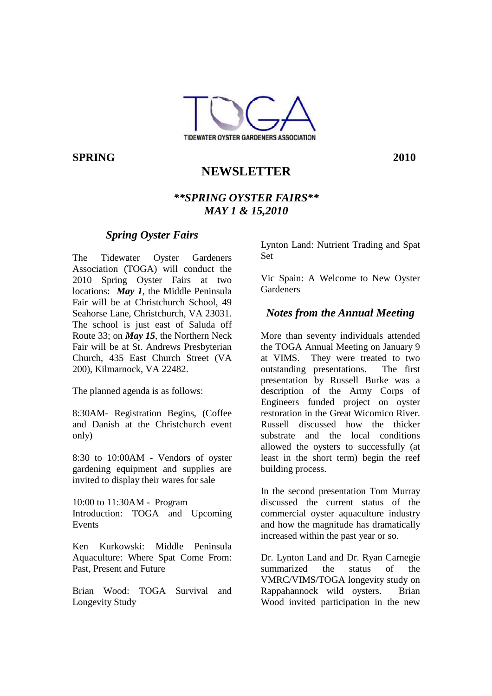

**SPRING 2010**

# **NEWSLETTER**

## *\*\*SPRING OYSTER FAIRS\*\* MAY 1 & 15,2010*

### *Spring Oyster Fairs*

The Tidewater Oyster Gardeners Association (TOGA) will conduct the 2010 Spring Oyster Fairs at two locations: *May 1*, the Middle Peninsula Fair will be at Christchurch School, 49 Seahorse Lane, Christchurch, VA 23031. The school is just east of Saluda off Route 33; on *May 15*, the Northern Neck Fair will be at St. Andrews Presbyterian Church, 435 East Church Street (VA 200), Kilmarnock, VA 22482.

The planned agenda is as follows:

8:30AM- Registration Begins, (Coffee and Danish at the Christchurch event only)

8:30 to 10:00AM - Vendors of oyster gardening equipment and supplies are invited to display their wares for sale

10:00 to 11:30AM - Program Introduction: TOGA and Upcoming Events

Ken Kurkowski: Middle Peninsula Aquaculture: Where Spat Come From: Past, Present and Future

Brian Wood: TOGA Survival and Longevity Study

Lynton Land: Nutrient Trading and Spat Set

Vic Spain: A Welcome to New Oyster **Gardeners** 

### *Notes from the Annual Meeting*

More than seventy individuals attended the TOGA Annual Meeting on January 9 at VIMS. They were treated to two outstanding presentations. The first presentation by Russell Burke was a description of the Army Corps of Engineers funded project on oyster restoration in the Great Wicomico River. Russell discussed how the thicker substrate and the local conditions allowed the oysters to successfully (at least in the short term) begin the reef building process.

In the second presentation Tom Murray discussed the current status of the commercial oyster aquaculture industry and how the magnitude has dramatically increased within the past year or so.

Dr. Lynton Land and Dr. Ryan Carnegie summarized the status of the VMRC/VIMS/TOGA longevity study on Rappahannock wild oysters. Brian Wood invited participation in the new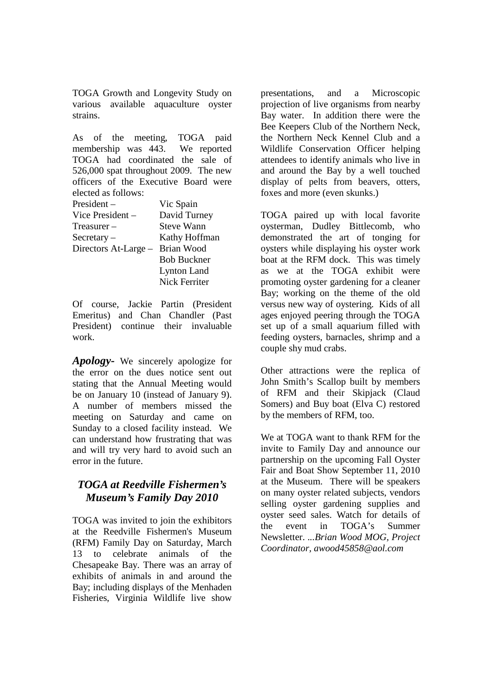TOGA Growth and Longevity Study on various available aquaculture oyster strains.

As of the meeting, TOGA paid membership was 443. We reported TOGA had coordinated the sale of 526,000 spat throughout 2009. The new officers of the Executive Board were elected as follows:

| $President -$        | Vic Spain            |
|----------------------|----------------------|
| Vice President -     | David Turney         |
| $T$ reasurer $-$     | <b>Steve Wann</b>    |
| $S$ ecretary –       | Kathy Hoffman        |
| Directors At-Large - | Brian Wood           |
|                      | <b>Bob Buckner</b>   |
|                      | <b>Lynton Land</b>   |
|                      | <b>Nick Ferriter</b> |
|                      |                      |

Of course, Jackie Partin (President Emeritus) and Chan Chandler (Past President) continue their invaluable work.

*Apology-* We sincerely apologize for the error on the dues notice sent out stating that the Annual Meeting would be on January 10 (instead of January 9). A number of members missed the meeting on Saturday and came on Sunday to a closed facility instead. We can understand how frustrating that was and will try very hard to avoid such an error in the future.

### *TOGA at Reedville Fishermen's Museum's Family Day 2010*

TOGA was invited to join the exhibitors at the Reedville Fishermen's Museum (RFM) Family Day on Saturday, March 13 to celebrate animals of the Chesapeake Bay. There was an array of exhibits of animals in and around the Bay; including displays of the Menhaden Fisheries, Virginia Wildlife live show

presentations, and a Microscopic projection of live organisms from nearby Bay water. In addition there were the Bee Keepers Club of the Northern Neck, the Northern Neck Kennel Club and a Wildlife Conservation Officer helping attendees to identify animals who live in and around the Bay by a well touched display of pelts from beavers, otters, foxes and more (even skunks.)

TOGA paired up with local favorite oysterman, Dudley Bittlecomb, who demonstrated the art of tonging for oysters while displaying his oyster work boat at the RFM dock. This was timely as we at the TOGA exhibit were promoting oyster gardening for a cleaner Bay; working on the theme of the old versus new way of oystering. Kids of all ages enjoyed peering through the TOGA set up of a small aquarium filled with feeding oysters, barnacles, shrimp and a couple shy mud crabs.

Other attractions were the replica of John Smith's Scallop built by members of RFM and their Skipjack (Claud Somers) and Buy boat (Elva C) restored by the members of RFM, too.

We at TOGA want to thank RFM for the invite to Family Day and announce our partnership on the upcoming Fall Oyster Fair and Boat Show September 11, 2010 at the Museum. There will be speakers on many oyster related subjects, vendors selling oyster gardening supplies and oyster seed sales. Watch for details of the event in TOGA's Summer Newsletter. .*..Brian Wood MOG, Project Coordinator, awood45858@aol.com*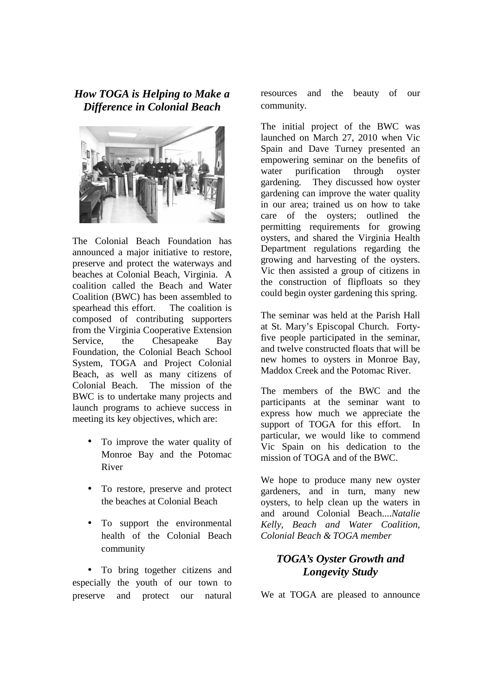## *How TOGA is Helping to Make a Difference in Colonial Beach*



The Colonial Beach Foundation has announced a major initiative to restore, preserve and protect the waterways and beaches at Colonial Beach, Virginia. A coalition called the Beach and Water Coalition (BWC) has been assembled to spearhead this effort. The coalition is composed of contributing supporters from the Virginia Cooperative Extension Service, the Chesapeake Bay Foundation, the Colonial Beach School System, TOGA and Project Colonial Beach, as well as many citizens of Colonial Beach. The mission of the BWC is to undertake many projects and launch programs to achieve success in meeting its key objectives, which are:

- To improve the water quality of Monroe Bay and the Potomac River
- To restore, preserve and protect the beaches at Colonial Beach
- To support the environmental health of the Colonial Beach community

• To bring together citizens and especially the youth of our town to preserve and protect our natural

resources and the beauty of our community.

The initial project of the BWC was launched on March 27, 2010 when Vic Spain and Dave Turney presented an empowering seminar on the benefits of water purification through oyster gardening. They discussed how oyster gardening can improve the water quality in our area; trained us on how to take care of the oysters; outlined the permitting requirements for growing oysters, and shared the Virginia Health Department regulations regarding the growing and harvesting of the oysters. Vic then assisted a group of citizens in the construction of flipfloats so they could begin oyster gardening this spring.

The seminar was held at the Parish Hall at St. Mary's Episcopal Church. Fortyfive people participated in the seminar, and twelve constructed floats that will be new homes to oysters in Monroe Bay, Maddox Creek and the Potomac River.

The members of the BWC and the participants at the seminar want to express how much we appreciate the support of TOGA for this effort. In particular, we would like to commend Vic Spain on his dedication to the mission of TOGA and of the BWC.

We hope to produce many new oyster gardeners, and in turn, many new oysters, to help clean up the waters in and around Colonial Beach....*Natalie Kelly, Beach and Water Coalition, Colonial Beach & TOGA member*

# *TOGA's Oyster Growth and Longevity Study*

We at TOGA are pleased to announce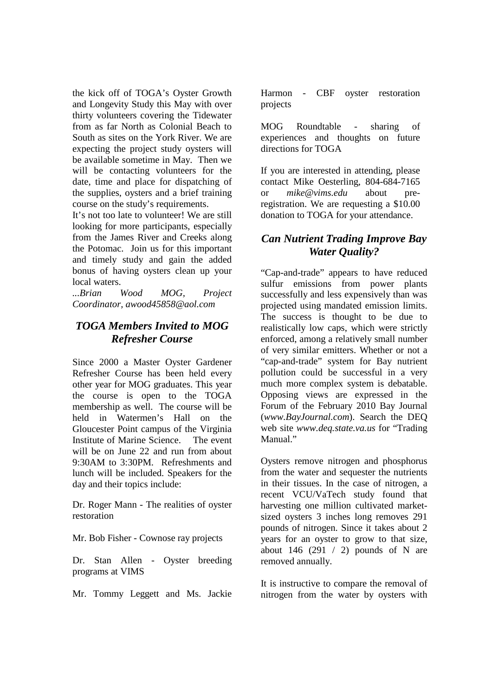the kick off of TOGA's Oyster Growth and Longevity Study this May with over thirty volunteers covering the Tidewater from as far North as Colonial Beach to South as sites on the York River. We are expecting the project study oysters will be available sometime in May. Then we will be contacting volunteers for the date, time and place for dispatching of the supplies, oysters and a brief training course on the study's requirements.

It's not too late to volunteer! We are still looking for more participants, especially from the James River and Creeks along the Potomac. Join us for this important and timely study and gain the added bonus of having oysters clean up your local waters.

*...Brian Wood MOG, Project Coordinator, awood45858@aol.com*

## *TOGA Members Invited to MOG Refresher Course*

Since 2000 a Master Oyster Gardener Refresher Course has been held every other year for MOG graduates. This year the course is open to the TOGA membership as well. The course will be held in Watermen's Hall on the Gloucester Point campus of the Virginia Institute of Marine Science. The event will be on June 22 and run from about 9:30AM to 3:30PM. Refreshments and lunch will be included. Speakers for the day and their topics include:

Dr. Roger Mann - The realities of oyster restoration

Mr. Bob Fisher - Cownose ray projects

Dr. Stan Allen - Oyster breeding programs at VIMS

Mr. Tommy Leggett and Ms. Jackie

Harmon - CBF oyster restoration projects

MOG Roundtable - sharing of experiences and thoughts on future directions for TOGA

If you are interested in attending, please contact Mike Oesterling, 804-684-7165 or *mike@vims.edu* about preregistration. We are requesting a \$10.00 donation to TOGA for your attendance.

## *Can Nutrient Trading Improve Bay Water Quality?*

"Cap-and-trade" appears to have reduced sulfur emissions from power plants successfully and less expensively than was projected using mandated emission limits. The success is thought to be due to realistically low caps, which were strictly enforced, among a relatively small number of very similar emitters. Whether or not a "cap-and-trade" system for Bay nutrient pollution could be successful in a very much more complex system is debatable. Opposing views are expressed in the Forum of the February 2010 Bay Journal (*www.BayJournal.com*). Search the DEQ web site *www.deq.state.va.us* for "Trading Manual."

Oysters remove nitrogen and phosphorus from the water and sequester the nutrients in their tissues. In the case of nitrogen, a recent VCU/VaTech study found that harvesting one million cultivated marketsized oysters 3 inches long removes 291 pounds of nitrogen. Since it takes about 2 years for an oyster to grow to that size, about 146 (291  $/$  2) pounds of N are removed annually.

It is instructive to compare the removal of nitrogen from the water by oysters with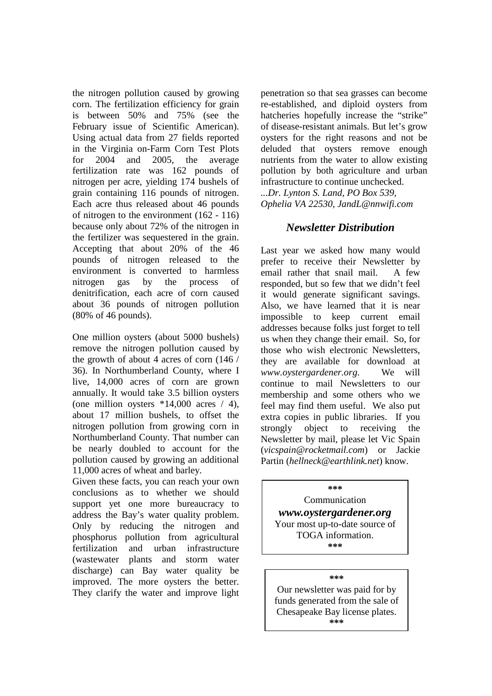the nitrogen pollution caused by growing corn. The fertilization efficiency for grain is between 50% and 75% (see the February issue of Scientific American). Using actual data from 27 fields reported in the Virginia on-Farm Corn Test Plots for 2004 and 2005, the average fertilization rate was 162 pounds of nitrogen per acre, yielding 174 bushels of grain containing 116 pounds of nitrogen. Each acre thus released about 46 pounds of nitrogen to the environment (162 - 116) because only about 72% of the nitrogen in the fertilizer was sequestered in the grain. Accepting that about 20% of the 46 pounds of nitrogen released to the environment is converted to harmless nitrogen gas by the process of denitrification, each acre of corn caused about 36 pounds of nitrogen pollution (80% of 46 pounds).

One million oysters (about 5000 bushels) remove the nitrogen pollution caused by the growth of about 4 acres of corn (146 / 36). In Northumberland County, where I live, 14,000 acres of corn are grown annually. It would take 3.5 billion oysters (one million oysters  $*14,000$  acres / 4), about 17 million bushels, to offset the nitrogen pollution from growing corn in Northumberland County. That number can be nearly doubled to account for the pollution caused by growing an additional 11,000 acres of wheat and barley.

Given these facts, you can reach your own conclusions as to whether we should support yet one more bureaucracy to address the Bay's water quality problem. Only by reducing the nitrogen and phosphorus pollution from agricultural fertilization and urban infrastructure (wastewater plants and storm water discharge) can Bay water quality be improved. The more oysters the better. They clarify the water and improve light

penetration so that sea grasses can become re-established, and diploid oysters from hatcheries hopefully increase the "strike" of disease-resistant animals. But let's grow oysters for the right reasons and not be deluded that oysters remove enough nutrients from the water to allow existing pollution by both agriculture and urban infrastructure to continue unchecked. *...Dr. Lynton S. Land, PO Box 539,* 

*Ophelia VA 22530, JandL@nnwifi.com* 

### *Newsletter Distribution*

Last year we asked how many would prefer to receive their Newsletter by email rather that snail mail. A few responded, but so few that we didn't feel it would generate significant savings. Also, we have learned that it is near impossible to keep current email addresses because folks just forget to tell us when they change their email. So, for those who wish electronic Newsletters, they are available for download at *www.oystergardener.org*. We will continue to mail Newsletters to our membership and some others who we feel may find them useful. We also put extra copies in public libraries. If you strongly object to receiving the Newsletter by mail, please let Vic Spain (*vicspain@rocketmail.com*) or Jackie Partin (*hellneck@earthlink.net*) know.

#### **\*\*\***

Communication *www.oystergardener.org*  Your most up-to-date source of TOGA information. **\*\*\***

#### **\*\*\***

Our newsletter was paid for by funds generated from the sale of Chesapeake Bay license plates. **\*\*\***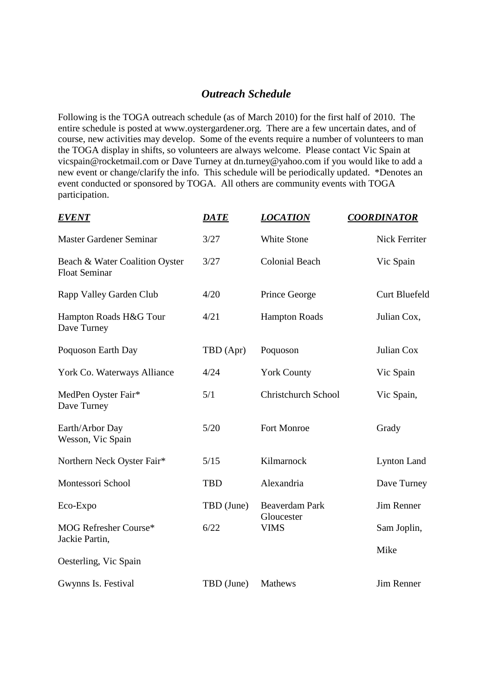#### *Outreach Schedule*

Following is the TOGA outreach schedule (as of March 2010) for the first half of 2010. The entire schedule is posted at www.oystergardener.org. There are a few uncertain dates, and of course, new activities may develop. Some of the events require a number of volunteers to man the TOGA display in shifts, so volunteers are always welcome. Please contact Vic Spain at vicspain@rocketmail.com or Dave Turney at dn.turney@yahoo.com if you would like to add a new event or change/clarify the info. This schedule will be periodically updated. \*Denotes an event conducted or sponsored by TOGA. All others are community events with TOGA participation.

| <b>EVENT</b>                                           | <u>DATE</u> | <b>LOCATION</b>            | <b>COORDINATOR</b>   |
|--------------------------------------------------------|-------------|----------------------------|----------------------|
| Master Gardener Seminar                                | 3/27        | White Stone                | Nick Ferriter        |
| Beach & Water Coalition Oyster<br><b>Float Seminar</b> | 3/27        | <b>Colonial Beach</b>      | Vic Spain            |
| Rapp Valley Garden Club                                | 4/20        | Prince George              | <b>Curt Bluefeld</b> |
| Hampton Roads H&G Tour<br>Dave Turney                  | 4/21        | <b>Hampton Roads</b>       | Julian Cox,          |
| Poquoson Earth Day                                     | TBD (Apr)   | Poquoson                   | Julian Cox           |
| York Co. Waterways Alliance                            | 4/24        | <b>York County</b>         | Vic Spain            |
| MedPen Oyster Fair*<br>Dave Turney                     | 5/1         | <b>Christchurch School</b> | Vic Spain,           |
| Earth/Arbor Day<br>Wesson, Vic Spain                   | 5/20        | Fort Monroe                | Grady                |
| Northern Neck Oyster Fair*                             | 5/15        | Kilmarnock                 | <b>Lynton Land</b>   |
| Montessori School                                      | <b>TBD</b>  | Alexandria                 | Dave Turney          |
| Eco-Expo                                               | TBD (June)  | <b>Beaverdam Park</b>      | <b>Jim Renner</b>    |
| MOG Refresher Course*<br>Jackie Partin,                | 6/22        | Gloucester<br><b>VIMS</b>  | Sam Joplin,          |
| Oesterling, Vic Spain                                  |             |                            | Mike                 |
| Gwynns Is. Festival                                    | TBD (June)  | Mathews                    | <b>Jim Renner</b>    |